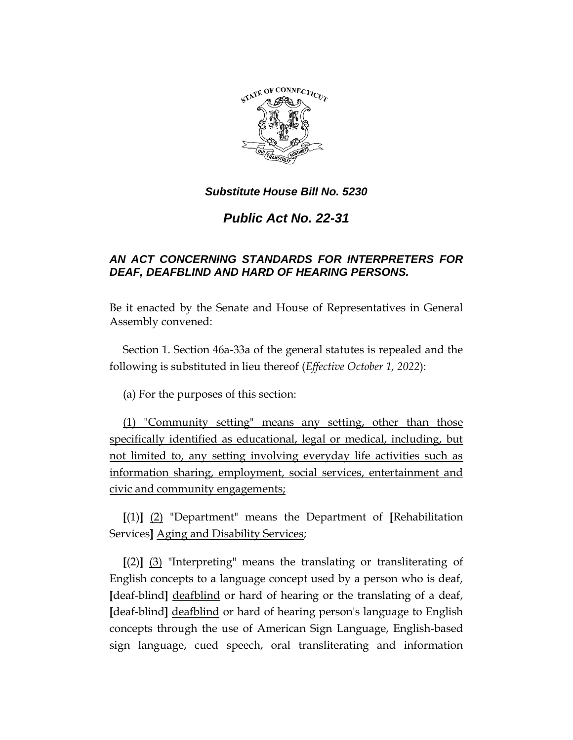

# *Public Act No. 22-31*

# *AN ACT CONCERNING STANDARDS FOR INTERPRETERS FOR DEAF, DEAFBLIND AND HARD OF HEARING PERSONS.*

Be it enacted by the Senate and House of Representatives in General Assembly convened:

Section 1. Section 46a-33a of the general statutes is repealed and the following is substituted in lieu thereof (*Effective October 1, 2022*):

(a) For the purposes of this section:

(1) "Community setting" means any setting, other than those specifically identified as educational, legal or medical, including, but not limited to, any setting involving everyday life activities such as information sharing, employment, social services, entertainment and civic and community engagements;

**[**(1)**]** (2) "Department" means the Department of **[**Rehabilitation Services**]** Aging and Disability Services;

**[**(2)**]** (3) "Interpreting" means the translating or transliterating of English concepts to a language concept used by a person who is deaf, **[**deaf-blind**]** deafblind or hard of hearing or the translating of a deaf, **[**deaf-blind**]** deafblind or hard of hearing person's language to English concepts through the use of American Sign Language, English-based sign language, cued speech, oral transliterating and information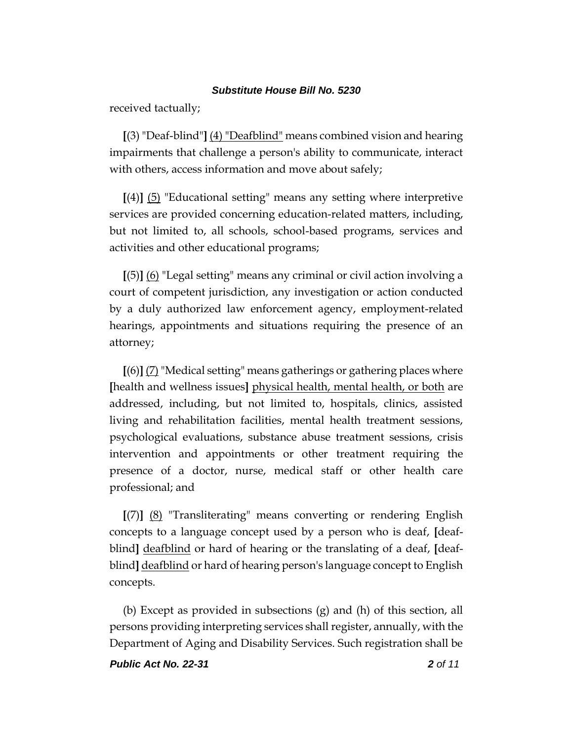received tactually;

**[**(3) "Deaf-blind"**]** (4) "Deafblind" means combined vision and hearing impairments that challenge a person's ability to communicate, interact with others, access information and move about safely;

**[**(4)**]** (5) "Educational setting" means any setting where interpretive services are provided concerning education-related matters, including, but not limited to, all schools, school-based programs, services and activities and other educational programs;

**[**(5)**]** (6) "Legal setting" means any criminal or civil action involving a court of competent jurisdiction, any investigation or action conducted by a duly authorized law enforcement agency, employment-related hearings, appointments and situations requiring the presence of an attorney;

**[**(6)**]** (7) "Medical setting" means gatherings or gathering places where **[**health and wellness issues**]** physical health, mental health, or both are addressed, including, but not limited to, hospitals, clinics, assisted living and rehabilitation facilities, mental health treatment sessions, psychological evaluations, substance abuse treatment sessions, crisis intervention and appointments or other treatment requiring the presence of a doctor, nurse, medical staff or other health care professional; and

**[**(7)**]** (8) "Transliterating" means converting or rendering English concepts to a language concept used by a person who is deaf, **[**deafblind**]** deafblind or hard of hearing or the translating of a deaf, **[**deafblind**]** deafblind or hard of hearing person's language concept to English concepts.

(b) Except as provided in subsections (g) and (h) of this section, all persons providing interpreting services shall register, annually, with the Department of Aging and Disability Services. Such registration shall be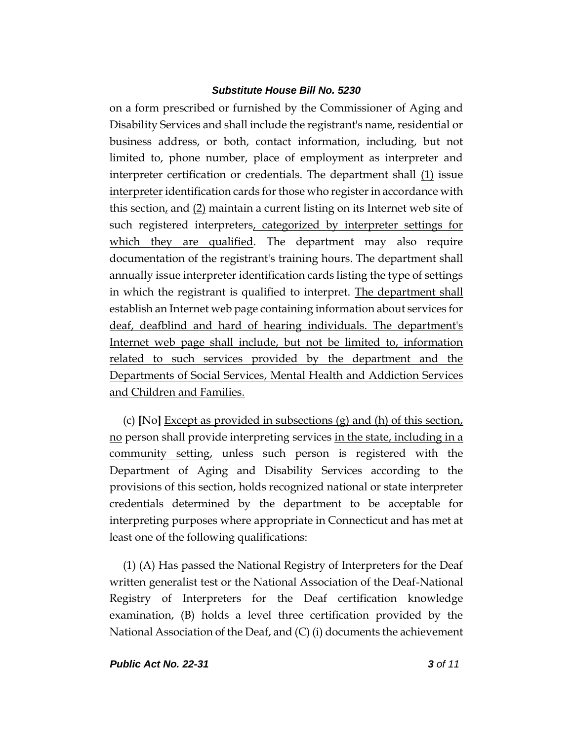on a form prescribed or furnished by the Commissioner of Aging and Disability Services and shall include the registrant's name, residential or business address, or both, contact information, including, but not limited to, phone number, place of employment as interpreter and interpreter certification or credentials. The department shall (1) issue interpreter identification cards for those who register in accordance with this section, and (2) maintain a current listing on its Internet web site of such registered interpreters, categorized by interpreter settings for which they are qualified. The department may also require documentation of the registrant's training hours. The department shall annually issue interpreter identification cards listing the type of settings in which the registrant is qualified to interpret. The department shall establish an Internet web page containing information about services for deaf, deafblind and hard of hearing individuals. The department's Internet web page shall include, but not be limited to, information related to such services provided by the department and the Departments of Social Services, Mental Health and Addiction Services and Children and Families.

(c) **[**No**]** Except as provided in subsections (g) and (h) of this section, no person shall provide interpreting services in the state, including in a community setting, unless such person is registered with the Department of Aging and Disability Services according to the provisions of this section, holds recognized national or state interpreter credentials determined by the department to be acceptable for interpreting purposes where appropriate in Connecticut and has met at least one of the following qualifications:

(1) (A) Has passed the National Registry of Interpreters for the Deaf written generalist test or the National Association of the Deaf-National Registry of Interpreters for the Deaf certification knowledge examination, (B) holds a level three certification provided by the National Association of the Deaf, and (C) (i) documents the achievement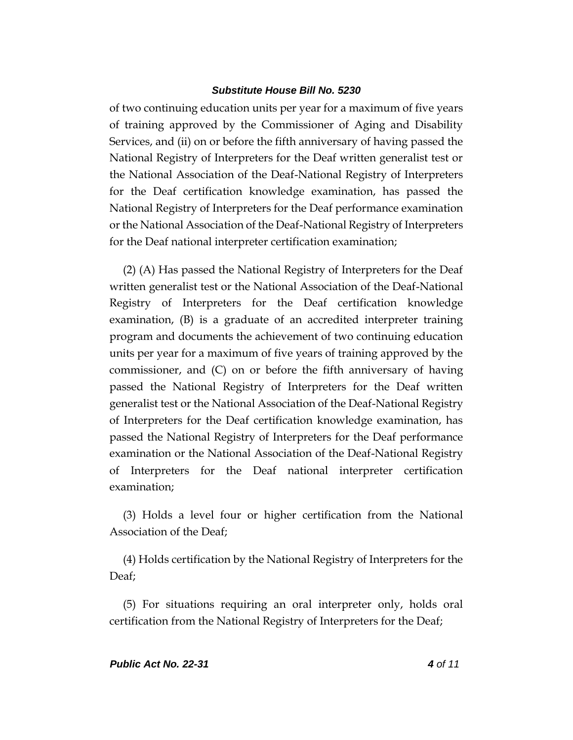of two continuing education units per year for a maximum of five years of training approved by the Commissioner of Aging and Disability Services, and (ii) on or before the fifth anniversary of having passed the National Registry of Interpreters for the Deaf written generalist test or the National Association of the Deaf-National Registry of Interpreters for the Deaf certification knowledge examination, has passed the National Registry of Interpreters for the Deaf performance examination or the National Association of the Deaf-National Registry of Interpreters for the Deaf national interpreter certification examination;

(2) (A) Has passed the National Registry of Interpreters for the Deaf written generalist test or the National Association of the Deaf-National Registry of Interpreters for the Deaf certification knowledge examination, (B) is a graduate of an accredited interpreter training program and documents the achievement of two continuing education units per year for a maximum of five years of training approved by the commissioner, and (C) on or before the fifth anniversary of having passed the National Registry of Interpreters for the Deaf written generalist test or the National Association of the Deaf-National Registry of Interpreters for the Deaf certification knowledge examination, has passed the National Registry of Interpreters for the Deaf performance examination or the National Association of the Deaf-National Registry of Interpreters for the Deaf national interpreter certification examination;

(3) Holds a level four or higher certification from the National Association of the Deaf;

(4) Holds certification by the National Registry of Interpreters for the Deaf;

(5) For situations requiring an oral interpreter only, holds oral certification from the National Registry of Interpreters for the Deaf;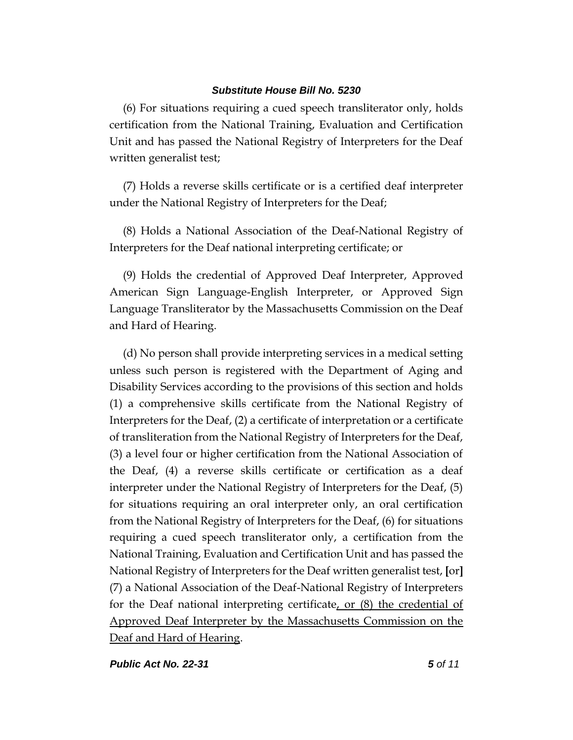(6) For situations requiring a cued speech transliterator only, holds certification from the National Training, Evaluation and Certification Unit and has passed the National Registry of Interpreters for the Deaf written generalist test;

(7) Holds a reverse skills certificate or is a certified deaf interpreter under the National Registry of Interpreters for the Deaf;

(8) Holds a National Association of the Deaf-National Registry of Interpreters for the Deaf national interpreting certificate; or

(9) Holds the credential of Approved Deaf Interpreter, Approved American Sign Language-English Interpreter, or Approved Sign Language Transliterator by the Massachusetts Commission on the Deaf and Hard of Hearing.

(d) No person shall provide interpreting services in a medical setting unless such person is registered with the Department of Aging and Disability Services according to the provisions of this section and holds (1) a comprehensive skills certificate from the National Registry of Interpreters for the Deaf, (2) a certificate of interpretation or a certificate of transliteration from the National Registry of Interpreters for the Deaf, (3) a level four or higher certification from the National Association of the Deaf, (4) a reverse skills certificate or certification as a deaf interpreter under the National Registry of Interpreters for the Deaf, (5) for situations requiring an oral interpreter only, an oral certification from the National Registry of Interpreters for the Deaf, (6) for situations requiring a cued speech transliterator only, a certification from the National Training, Evaluation and Certification Unit and has passed the National Registry of Interpreters for the Deaf written generalist test, **[**or**]** (7) a National Association of the Deaf-National Registry of Interpreters for the Deaf national interpreting certificate, or  $(8)$  the credential of Approved Deaf Interpreter by the Massachusetts Commission on the Deaf and Hard of Hearing.

*Public Act No. 22-31 5 of 11*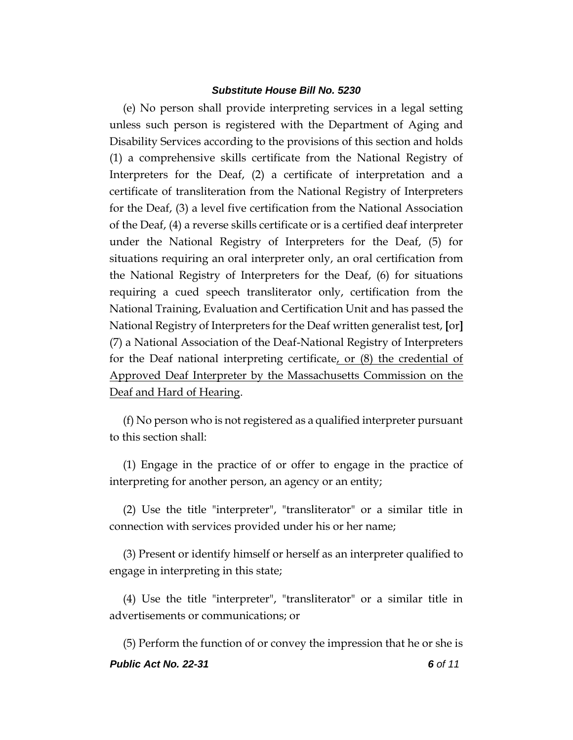(e) No person shall provide interpreting services in a legal setting unless such person is registered with the Department of Aging and Disability Services according to the provisions of this section and holds (1) a comprehensive skills certificate from the National Registry of Interpreters for the Deaf, (2) a certificate of interpretation and a certificate of transliteration from the National Registry of Interpreters for the Deaf, (3) a level five certification from the National Association of the Deaf, (4) a reverse skills certificate or is a certified deaf interpreter under the National Registry of Interpreters for the Deaf, (5) for situations requiring an oral interpreter only, an oral certification from the National Registry of Interpreters for the Deaf, (6) for situations requiring a cued speech transliterator only, certification from the National Training, Evaluation and Certification Unit and has passed the National Registry of Interpreters for the Deaf written generalist test, **[**or**]** (7) a National Association of the Deaf-National Registry of Interpreters for the Deaf national interpreting certificate, or  $(8)$  the credential of Approved Deaf Interpreter by the Massachusetts Commission on the Deaf and Hard of Hearing.

(f) No person who is not registered as a qualified interpreter pursuant to this section shall:

(1) Engage in the practice of or offer to engage in the practice of interpreting for another person, an agency or an entity;

(2) Use the title "interpreter", "transliterator" or a similar title in connection with services provided under his or her name;

(3) Present or identify himself or herself as an interpreter qualified to engage in interpreting in this state;

(4) Use the title "interpreter", "transliterator" or a similar title in advertisements or communications; or

*Public Act No. 22-31 6 of 11* (5) Perform the function of or convey the impression that he or she is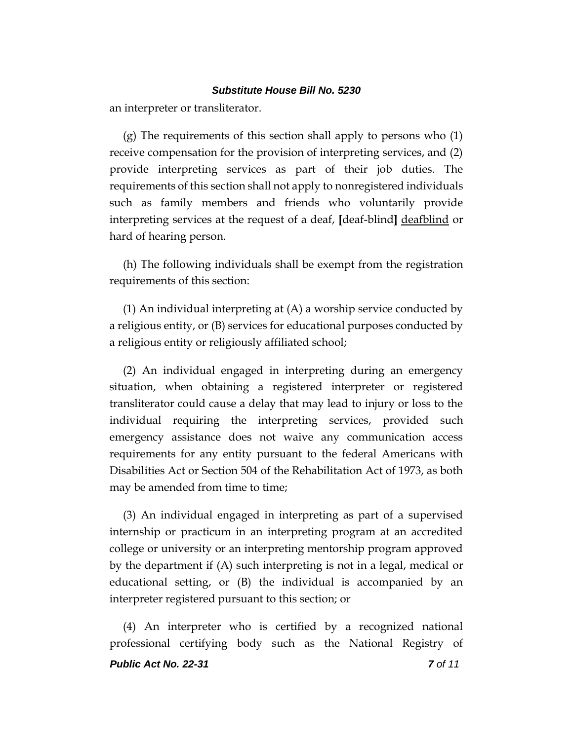an interpreter or transliterator.

(g) The requirements of this section shall apply to persons who (1) receive compensation for the provision of interpreting services, and (2) provide interpreting services as part of their job duties. The requirements of this section shall not apply to nonregistered individuals such as family members and friends who voluntarily provide interpreting services at the request of a deaf, **[**deaf-blind**]** deafblind or hard of hearing person.

(h) The following individuals shall be exempt from the registration requirements of this section:

(1) An individual interpreting at (A) a worship service conducted by a religious entity, or (B) services for educational purposes conducted by a religious entity or religiously affiliated school;

(2) An individual engaged in interpreting during an emergency situation, when obtaining a registered interpreter or registered transliterator could cause a delay that may lead to injury or loss to the individual requiring the interpreting services, provided such emergency assistance does not waive any communication access requirements for any entity pursuant to the federal Americans with Disabilities Act or Section 504 of the Rehabilitation Act of 1973, as both may be amended from time to time;

(3) An individual engaged in interpreting as part of a supervised internship or practicum in an interpreting program at an accredited college or university or an interpreting mentorship program approved by the department if (A) such interpreting is not in a legal, medical or educational setting, or (B) the individual is accompanied by an interpreter registered pursuant to this section; or

(4) An interpreter who is certified by a recognized national professional certifying body such as the National Registry of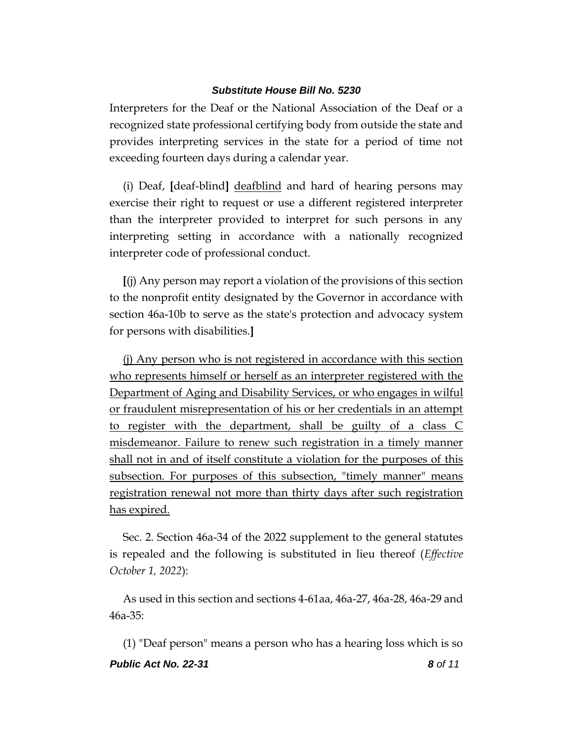Interpreters for the Deaf or the National Association of the Deaf or a recognized state professional certifying body from outside the state and provides interpreting services in the state for a period of time not exceeding fourteen days during a calendar year.

(i) Deaf, **[**deaf-blind**]** deafblind and hard of hearing persons may exercise their right to request or use a different registered interpreter than the interpreter provided to interpret for such persons in any interpreting setting in accordance with a nationally recognized interpreter code of professional conduct.

**[**(j) Any person may report a violation of the provisions of this section to the nonprofit entity designated by the Governor in accordance with section 46a-10b to serve as the state's protection and advocacy system for persons with disabilities.**]**

(j) Any person who is not registered in accordance with this section who represents himself or herself as an interpreter registered with the Department of Aging and Disability Services, or who engages in wilful or fraudulent misrepresentation of his or her credentials in an attempt to register with the department, shall be guilty of a class C misdemeanor. Failure to renew such registration in a timely manner shall not in and of itself constitute a violation for the purposes of this subsection. For purposes of this subsection, "timely manner" means registration renewal not more than thirty days after such registration has expired.

Sec. 2. Section 46a-34 of the 2022 supplement to the general statutes is repealed and the following is substituted in lieu thereof (*Effective October 1, 2022*):

As used in this section and sections 4-61aa, 46a-27, 46a-28, 46a-29 and 46a-35:

*Public Act No. 22-31 8 of 11* (1) "Deaf person" means a person who has a hearing loss which is so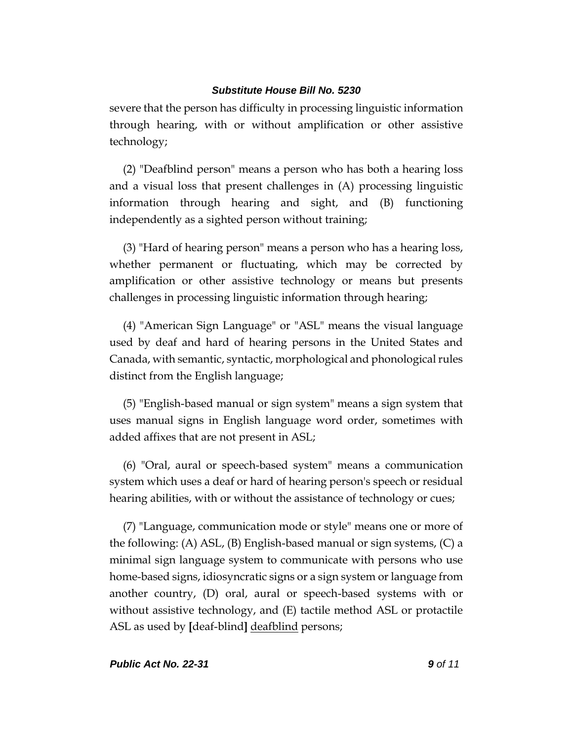severe that the person has difficulty in processing linguistic information through hearing, with or without amplification or other assistive technology;

(2) "Deafblind person" means a person who has both a hearing loss and a visual loss that present challenges in (A) processing linguistic information through hearing and sight, and (B) functioning independently as a sighted person without training;

(3) "Hard of hearing person" means a person who has a hearing loss, whether permanent or fluctuating, which may be corrected by amplification or other assistive technology or means but presents challenges in processing linguistic information through hearing;

(4) "American Sign Language" or "ASL" means the visual language used by deaf and hard of hearing persons in the United States and Canada, with semantic, syntactic, morphological and phonological rules distinct from the English language;

(5) "English-based manual or sign system" means a sign system that uses manual signs in English language word order, sometimes with added affixes that are not present in ASL;

(6) "Oral, aural or speech-based system" means a communication system which uses a deaf or hard of hearing person's speech or residual hearing abilities, with or without the assistance of technology or cues;

(7) "Language, communication mode or style" means one or more of the following: (A) ASL, (B) English-based manual or sign systems, (C) a minimal sign language system to communicate with persons who use home-based signs, idiosyncratic signs or a sign system or language from another country, (D) oral, aural or speech-based systems with or without assistive technology, and (E) tactile method ASL or protactile ASL as used by **[**deaf-blind**]** deafblind persons;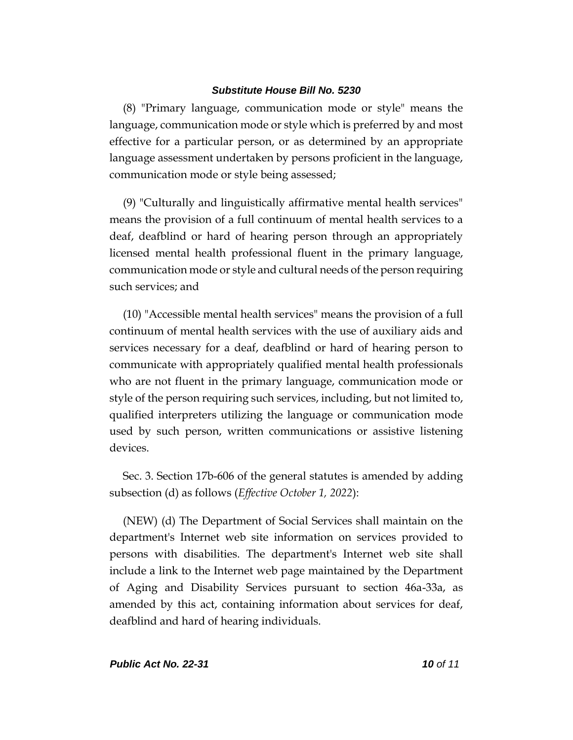(8) "Primary language, communication mode or style" means the language, communication mode or style which is preferred by and most effective for a particular person, or as determined by an appropriate language assessment undertaken by persons proficient in the language, communication mode or style being assessed;

(9) "Culturally and linguistically affirmative mental health services" means the provision of a full continuum of mental health services to a deaf, deafblind or hard of hearing person through an appropriately licensed mental health professional fluent in the primary language, communication mode or style and cultural needs of the person requiring such services; and

(10) "Accessible mental health services" means the provision of a full continuum of mental health services with the use of auxiliary aids and services necessary for a deaf, deafblind or hard of hearing person to communicate with appropriately qualified mental health professionals who are not fluent in the primary language, communication mode or style of the person requiring such services, including, but not limited to, qualified interpreters utilizing the language or communication mode used by such person, written communications or assistive listening devices.

Sec. 3. Section 17b-606 of the general statutes is amended by adding subsection (d) as follows (*Effective October 1, 2022*):

(NEW) (d) The Department of Social Services shall maintain on the department's Internet web site information on services provided to persons with disabilities. The department's Internet web site shall include a link to the Internet web page maintained by the Department of Aging and Disability Services pursuant to section 46a-33a, as amended by this act, containing information about services for deaf, deafblind and hard of hearing individuals.